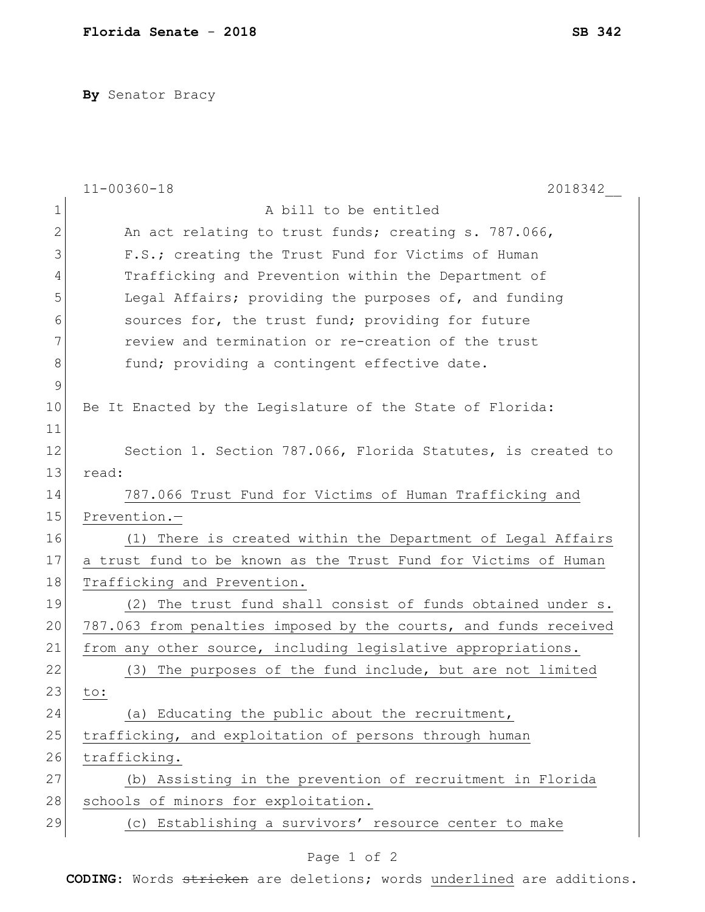**By** Senator Bracy

|              | $11 - 00360 - 18$<br>2018342                                     |
|--------------|------------------------------------------------------------------|
| 1            | A bill to be entitled                                            |
| $\mathbf{2}$ | An act relating to trust funds; creating s. 787.066,             |
| 3            | F.S.; creating the Trust Fund for Victims of Human               |
| 4            | Trafficking and Prevention within the Department of              |
| 5            | Legal Affairs; providing the purposes of, and funding            |
| 6            | sources for, the trust fund; providing for future                |
| 7            | review and termination or re-creation of the trust               |
| 8            | fund; providing a contingent effective date.                     |
| 9            |                                                                  |
| 10           | Be It Enacted by the Legislature of the State of Florida:        |
| 11           |                                                                  |
| 12           | Section 1. Section 787.066, Florida Statutes, is created to      |
| 13           | read:                                                            |
| 14           | 787.066 Trust Fund for Victims of Human Trafficking and          |
| 15           | Prevention.-                                                     |
| 16           | There is created within the Department of Legal Affairs<br>(1)   |
| 17           | a trust fund to be known as the Trust Fund for Victims of Human  |
| 18           | Trafficking and Prevention.                                      |
| 19           | (2) The trust fund shall consist of funds obtained under s.      |
| 20           | 787.063 from penalties imposed by the courts, and funds received |
| 21           | from any other source, including legislative appropriations.     |
| 22           | The purposes of the fund include, but are not limited<br>(3)     |
| 23           | to:                                                              |
| 24           | (a) Educating the public about the recruitment,                  |
| 25           | trafficking, and exploitation of persons through human           |
| 26           | trafficking.                                                     |
| 27           | (b) Assisting in the prevention of recruitment in Florida        |
| 28           | schools of minors for exploitation.                              |
| 29           | (c) Establishing a survivors' resource center to make            |

## Page 1 of 2

**CODING**: Words stricken are deletions; words underlined are additions.